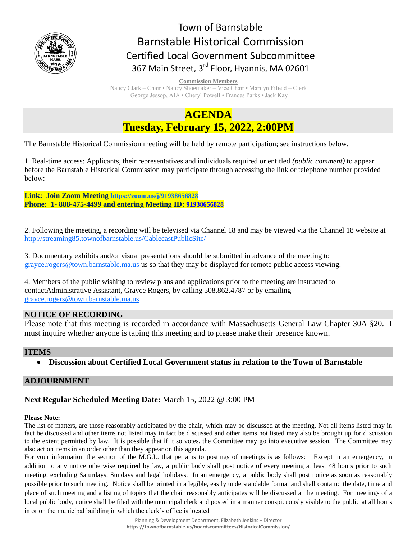

# Town of Barnstable Barnstable Historical Commission Certified Local Government Subcommittee 367 Main Street, 3<sup>rd</sup> Floor, Hyannis, MA 02601

**Commission Members** 

Nancy Clark – Chair • Nancy Shoemaker – Vice Chair • Marilyn Fifield – Clerk George Jessop, AIA • Cheryl Powell • Frances Parks • Jack Kay

## **AGENDA Tuesday, February 15, 2022, 2:00PM**

The Barnstable Historical Commission meeting will be held by remote participation; see instructions below.

1. Real-time access: Applicants, their representatives and individuals required or entitled *(public comment)* to appear before the Barnstable Historical Commission may participate through accessing the link or telephone number provided below:

**Link: Join Zoom Meeting <https://zoom.us/j/91938656828> Phone: 1- 888-475-4499 and entering Meeting ID: [91938656828](https://zoom.us/j/91938656828)**

2. Following the meeting, a recording will be televised via Channel 18 and may be viewed via the Channel 18 website at <http://streaming85.townofbarnstable.us/CablecastPublicSite/>

3. Documentary exhibits and/or visual presentations should be submitted in advance of the meeting to [grayce.rogers@town.barnstable.ma.us](mailto:grayce.rogers@town.barnstable.ma.us) us so that they may be displayed for remote public access viewing.

4. Members of the public wishing to review plans and applications prior to the meeting are instructed to contactAdministrative Assistant, Grayce Rogers, by calling 508.862.4787 or by emailing [grayce.rogers@town.barnstable.ma.us](mailto:grayce.rogers@town.barnstable.ma.us)

## **NOTICE OF RECORDING**

Please note that this meeting is recorded in accordance with Massachusetts General Law Chapter 30A §20. I must inquire whether anyone is taping this meeting and to please make their presence known.

### **ITEMS**

**Discussion about Certified Local Government status in relation to the Town of Barnstable** 

## **ADJOURNMENT**

## **Next Regular Scheduled Meeting Date:** March 15, 2022 @ 3:00 PM

#### **Please Note:**

The list of matters, are those reasonably anticipated by the chair, which may be discussed at the meeting. Not all items listed may in fact be discussed and other items not listed may in fact be discussed and other items not listed may also be brought up for discussion to the extent permitted by law. It is possible that if it so votes, the Committee may go into executive session. The Committee may also act on items in an order other than they appear on this agenda.

For your information the section of the M.G.L. that pertains to postings of meetings is as follows: Except in an emergency, in addition to any notice otherwise required by law, a public body shall post notice of every meeting at least 48 hours prior to such meeting, excluding Saturdays, Sundays and legal holidays. In an emergency, a public body shall post notice as soon as reasonably possible prior to such meeting. Notice shall be printed in a legible, easily understandable format and shall contain: the date, time and place of such meeting and a listing of topics that the chair reasonably anticipates will be discussed at the meeting. For meetings of a local public body, notice shall be filed with the municipal clerk and posted in a manner conspicuously visible to the public at all hours in or on the municipal building in which the clerk's office is located